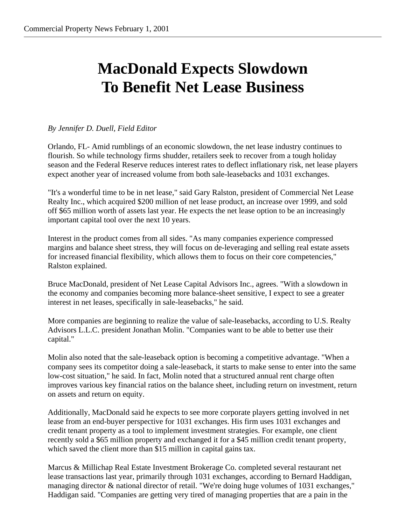## **MacDonald Expects Slowdown To Benefit Net Lease Business**

## *By Jennifer D. Duell, Field Editor*

Orlando, FL- Amid rumblings of an economic slowdown, the net lease industry continues to flourish. So while technology firms shudder, retailers seek to recover from a tough holiday season and the Federal Reserve reduces interest rates to deflect inflationary risk, net lease players expect another year of increased volume from both sale-leasebacks and 1031 exchanges.

"It's a wonderful time to be in net lease," said Gary Ralston, president of Commercial Net Lease Realty Inc., which acquired \$200 million of net lease product, an increase over 1999, and sold off \$65 million worth of assets last year. He expects the net lease option to be an increasingly important capital tool over the next 10 years.

Interest in the product comes from all sides. "As many companies experience compressed margins and balance sheet stress, they will focus on de-leveraging and selling real estate assets for increased financial flexibility, which allows them to focus on their core competencies," Ralston explained.

Bruce MacDonald, president of Net Lease Capital Advisors Inc., agrees. "With a slowdown in the economy and companies becoming more balance-sheet sensitive, I expect to see a greater interest in net leases, specifically in sale-leasebacks," he said.

More companies are beginning to realize the value of sale-leasebacks, according to U.S. Realty Advisors L.L.C. president Jonathan Molin. "Companies want to be able to better use their capital."

Molin also noted that the sale-leaseback option is becoming a competitive advantage. "When a company sees its competitor doing a sale-leaseback, it starts to make sense to enter into the same low-cost situation," he said. In fact, Molin noted that a structured annual rent charge often improves various key financial ratios on the balance sheet, including return on investment, return on assets and return on equity.

Additionally, MacDonald said he expects to see more corporate players getting involved in net lease from an end-buyer perspective for 1031 exchanges. His firm uses 1031 exchanges and credit tenant property as a tool to implement investment strategies. For example, one client recently sold a \$65 million property and exchanged it for a \$45 million credit tenant property, which saved the client more than \$15 million in capital gains tax.

Marcus & Millichap Real Estate Investment Brokerage Co. completed several restaurant net lease transactions last year, primarily through 1031 exchanges, according to Bernard Haddigan, managing director & national director of retail. "We're doing huge volumes of 1031 exchanges," Haddigan said. "Companies are getting very tired of managing properties that are a pain in the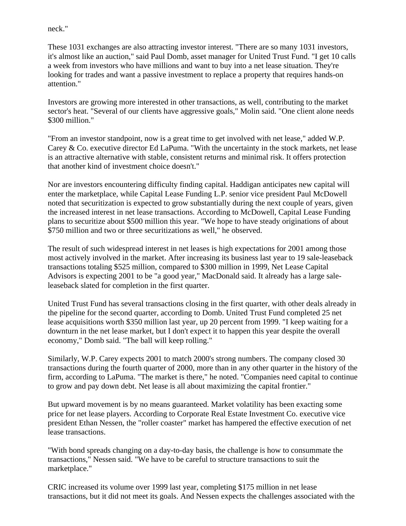neck."

These 1031 exchanges are also attracting investor interest. "There are so many 1031 investors, it's almost like an auction," said Paul Domb, asset manager for United Trust Fund. "I get 10 calls a week from investors who have millions and want to buy into a net lease situation. They're looking for trades and want a passive investment to replace a property that requires hands-on attention."

Investors are growing more interested in other transactions, as well, contributing to the market sector's heat. "Several of our clients have aggressive goals," Molin said. "One client alone needs \$300 million."

"From an investor standpoint, now is a great time to get involved with net lease," added W.P. Carey & Co. executive director Ed LaPuma. "With the uncertainty in the stock markets, net lease is an attractive alternative with stable, consistent returns and minimal risk. It offers protection that another kind of investment choice doesn't."

Nor are investors encountering difficulty finding capital. Haddigan anticipates new capital will enter the marketplace, while Capital Lease Funding L.P. senior vice president Paul McDowell noted that securitization is expected to grow substantially during the next couple of years, given the increased interest in net lease transactions. According to McDowell, Capital Lease Funding plans to securitize about \$500 million this year. "We hope to have steady originations of about \$750 million and two or three securitizations as well," he observed.

The result of such widespread interest in net leases is high expectations for 2001 among those most actively involved in the market. After increasing its business last year to 19 sale-leaseback transactions totaling \$525 million, compared to \$300 million in 1999, Net Lease Capital Advisors is expecting 2001 to be "a good year," MacDonald said. It already has a large saleleaseback slated for completion in the first quarter.

United Trust Fund has several transactions closing in the first quarter, with other deals already in the pipeline for the second quarter, according to Domb. United Trust Fund completed 25 net lease acquisitions worth \$350 million last year, up 20 percent from 1999. "I keep waiting for a downturn in the net lease market, but I don't expect it to happen this year despite the overall economy," Domb said. "The ball will keep rolling."

Similarly, W.P. Carey expects 2001 to match 2000's strong numbers. The company closed 30 transactions during the fourth quarter of 2000, more than in any other quarter in the history of the firm, according to LaPuma. "The market is there," he noted. "Companies need capital to continue to grow and pay down debt. Net lease is all about maximizing the capital frontier."

But upward movement is by no means guaranteed. Market volatility has been exacting some price for net lease players. According to Corporate Real Estate Investment Co. executive vice president Ethan Nessen, the "roller coaster" market has hampered the effective execution of net lease transactions.

"With bond spreads changing on a day-to-day basis, the challenge is how to consummate the transactions," Nessen said. "We have to be careful to structure transactions to suit the marketplace."

CRIC increased its volume over 1999 last year, completing \$175 million in net lease transactions, but it did not meet its goals. And Nessen expects the challenges associated with the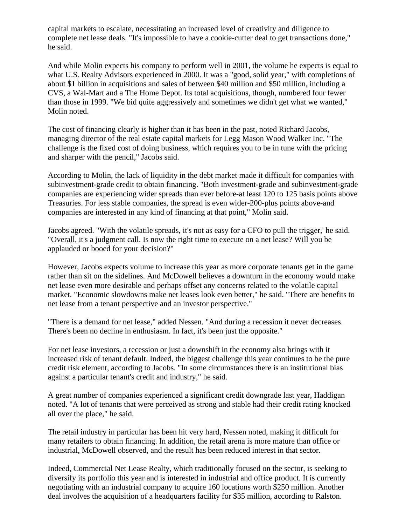capital markets to escalate, necessitating an increased level of creativity and diligence to complete net lease deals. "It's impossible to have a cookie-cutter deal to get transactions done," he said.

And while Molin expects his company to perform well in 2001, the volume he expects is equal to what U.S. Realty Advisors experienced in 2000. It was a "good, solid year," with completions of about \$1 billion in acquisitions and sales of between \$40 million and \$50 million, including a CVS, a Wal-Mart and a The Home Depot. Its total acquisitions, though, numbered four fewer than those in 1999. "We bid quite aggressively and sometimes we didn't get what we wanted," Molin noted.

The cost of financing clearly is higher than it has been in the past, noted Richard Jacobs, managing director of the real estate capital markets for Legg Mason Wood Walker Inc. "The challenge is the fixed cost of doing business, which requires you to be in tune with the pricing and sharper with the pencil," Jacobs said.

According to Molin, the lack of liquidity in the debt market made it difficult for companies with subinvestment-grade credit to obtain financing. "Both investment-grade and subinvestment-grade companies are experiencing wider spreads than ever before-at least 120 to 125 basis points above Treasuries. For less stable companies, the spread is even wider-200-plus points above-and companies are interested in any kind of financing at that point," Molin said.

Jacobs agreed. "With the volatile spreads, it's not as easy for a CFO to pull the trigger,' he said. "Overall, it's a judgment call. Is now the right time to execute on a net lease? Will you be applauded or booed for your decision?"

However, Jacobs expects volume to increase this year as more corporate tenants get in the game rather than sit on the sidelines. And McDowell believes a downturn in the economy would make net lease even more desirable and perhaps offset any concerns related to the volatile capital market. "Economic slowdowns make net leases look even better," he said. "There are benefits to net lease from a tenant perspective and an investor perspective."

"There is a demand for net lease," added Nessen. "And during a recession it never decreases. There's been no decline in enthusiasm. In fact, it's been just the opposite."

For net lease investors, a recession or just a downshift in the economy also brings with it increased risk of tenant default. Indeed, the biggest challenge this year continues to be the pure credit risk element, according to Jacobs. "In some circumstances there is an institutional bias against a particular tenant's credit and industry," he said.

A great number of companies experienced a significant credit downgrade last year, Haddigan noted. "A lot of tenants that were perceived as strong and stable had their credit rating knocked all over the place," he said.

The retail industry in particular has been hit very hard, Nessen noted, making it difficult for many retailers to obtain financing. In addition, the retail arena is more mature than office or industrial, McDowell observed, and the result has been reduced interest in that sector.

Indeed, Commercial Net Lease Realty, which traditionally focused on the sector, is seeking to diversify its portfolio this year and is interested in industrial and office product. It is currently negotiating with an industrial company to acquire 160 locations worth \$250 million. Another deal involves the acquisition of a headquarters facility for \$35 million, according to Ralston.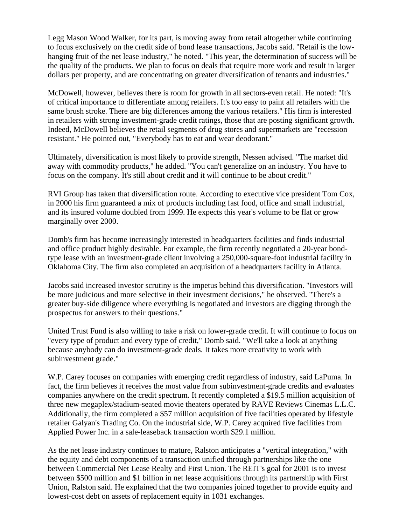Legg Mason Wood Walker, for its part, is moving away from retail altogether while continuing to focus exclusively on the credit side of bond lease transactions, Jacobs said. "Retail is the lowhanging fruit of the net lease industry," he noted. "This year, the determination of success will be the quality of the products. We plan to focus on deals that require more work and result in larger dollars per property, and are concentrating on greater diversification of tenants and industries."

McDowell, however, believes there is room for growth in all sectors-even retail. He noted: "It's of critical importance to differentiate among retailers. It's too easy to paint all retailers with the same brush stroke. There are big differences among the various retailers." His firm is interested in retailers with strong investment-grade credit ratings, those that are posting significant growth. Indeed, McDowell believes the retail segments of drug stores and supermarkets are "recession resistant." He pointed out, "Everybody has to eat and wear deodorant."

Ultimately, diversification is most likely to provide strength, Nessen advised. "The market did away with commodity products," he added. "You can't generalize on an industry. You have to focus on the company. It's still about credit and it will continue to be about credit."

RVI Group has taken that diversification route. According to executive vice president Tom Cox, in 2000 his firm guaranteed a mix of products including fast food, office and small industrial, and its insured volume doubled from 1999. He expects this year's volume to be flat or grow marginally over 2000.

Domb's firm has become increasingly interested in headquarters facilities and finds industrial and office product highly desirable. For example, the firm recently negotiated a 20-year bondtype lease with an investment-grade client involving a 250,000-square-foot industrial facility in Oklahoma City. The firm also completed an acquisition of a headquarters facility in Atlanta.

Jacobs said increased investor scrutiny is the impetus behind this diversification. "Investors will be more judicious and more selective in their investment decisions," he observed. "There's a greater buy-side diligence where everything is negotiated and investors are digging through the prospectus for answers to their questions."

United Trust Fund is also willing to take a risk on lower-grade credit. It will continue to focus on "every type of product and every type of credit," Domb said. "We'll take a look at anything because anybody can do investment-grade deals. It takes more creativity to work with subinvestment grade."

W.P. Carey focuses on companies with emerging credit regardless of industry, said LaPuma. In fact, the firm believes it receives the most value from subinvestment-grade credits and evaluates companies anywhere on the credit spectrum. It recently completed a \$19.5 million acquisition of three new megaplex/stadium-seated movie theaters operated by RAVE Reviews Cinemas L.L.C. Additionally, the firm completed a \$57 million acquisition of five facilities operated by lifestyle retailer Galyan's Trading Co. On the industrial side, W.P. Carey acquired five facilities from Applied Power Inc. in a sale-leaseback transaction worth \$29.1 million.

As the net lease industry continues to mature, Ralston anticipates a "vertical integration," with the equity and debt components of a transaction unified through partnerships like the one between Commercial Net Lease Realty and First Union. The REIT's goal for 2001 is to invest between \$500 million and \$1 billion in net lease acquisitions through its partnership with First Union, Ralston said. He explained that the two companies joined together to provide equity and lowest-cost debt on assets of replacement equity in 1031 exchanges.